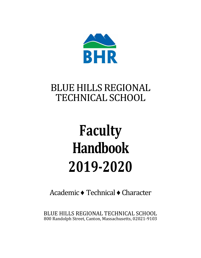

## BLUE HILLS REGIONAL TECHNICAL SCHOOL

# **Faculty Handbook 2019-2020**

Academic ♦ Technical ♦ Character

BLUE HILLS REGIONAL TECHNICAL SCHOOL 800 Randolph Street, Canton, Massachusetts, 02021-9103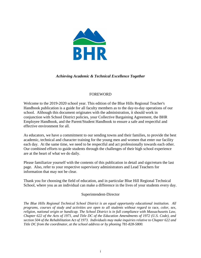

#### *Achieving Academic & Technical Excellence Together*

#### FOREWORD

Welcome to the 2019-2020 school year. This edition of the Blue Hills Regional Teacher's Handbook publication is a guide for all faculty members as to the day-to-day operations of our school. Although this document originates with the administration, it should work in conjunction with School District policies, your Collective Bargaining Agreement, the BHR Employee Handbook, and the Parent/Student Handbook to ensure a safe and respectful and effective environment for all.

As educators, we have a commitment to our sending towns and their families, to provide the best academic, technical and character training for the young men and women that enter our facility each day. At the same time, we need to be respectful and act professionally towards each other. Our combined efforts to guide students through the challenges of their high school experience are at the heart of what we do daily.

Please familiarize yourself with the contents of this publication in detail and sign/return the last page. Also, refer to your respective supervisory administrators and Lead Teachers for information that may not be clear.

Thank you for choosing the field of education, and in particular Blue Hill Regional Technical School, where you as an individual can make a difference in the lives of your students every day.

#### Superintendent-Director

*The Blue Hills Regional Technical School District is an equal opportunity educational institution. All programs, courses of study and activities are open to all students without regard to race, color, sex, religion, national origin or handicap. The School District is in full compliance with Massachusetts Law, Chapter 622 of the Acts of 1971, and Title DC of the Education Amendments of 1972 (U.S. Code), and section 504 of the Rehabilitation Act of 1973. Individuals may make inquiries relative to Chapter 622 and Title DC from the coordinator, at the school address or by phoning 781-828-5800.*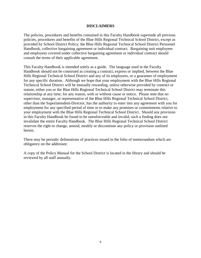#### **DISCLAIMERS**

The policies, procedures and benefits contained in this Faculty Handbook supersede all previous policies, procedures and benefits of the Blue Hills Regional Technical School District, except as provided by School District Policy, the Blue Hills Regional Technical School District Personnel Handbook, collective bargaining agreement or individual contract. Bargaining unit employees and employees covered under collective bargaining agreement or individual contract should consult the terms of their applicable agreement.

This Faculty Handbook is intended solely as a guide. The language used in the Faculty Handbook should not be construed as creating a contract, express or implied, between the Blue Hills Regional Technical School District and any of its employees, or a guarantee of employment for any specific duration. Although we hope that your employment with the Blue Hills Regional Technical School District will be mutually rewarding, unless otherwise provided by contract or statute, either you or the Blue Hills Regional Technical School District may terminate this relationship at any time, for any reason, with or without cause or notice. Please note that no supervisor, manager, or representative of the Blue Hills Regional Technical School District, other than the Superintendent-Director, has the authority to enter into any agreement with you for employment for any specified period of time or to make any promises or commitments relative to your employment with the Blue Hills Regional Technical School District. Should any provision in this Faculty Handbook be found to be unenforceable and invalid, such a finding does not invalidate the entire Faculty Handbook. The Blue Hills Regional Technical School District reserves the right to change, amend, modify or discontinue any policy or provision outlined herein.

There may be periodic delineations of practices issued in the folio of memorandum which are obligatory on the addressee.

A copy of the Policy Manual for the School District is located in the library and should be reviewed by all staff annually.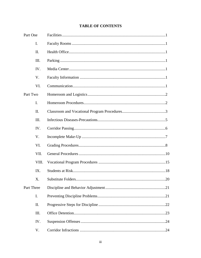|  | <b>TABLE OF CONTENTS</b> |
|--|--------------------------|
|--|--------------------------|

| Part One           |                |  |
|--------------------|----------------|--|
|                    | $\mathbf{I}$ . |  |
|                    | II.            |  |
|                    | Ш.             |  |
|                    | IV.            |  |
|                    | V.             |  |
|                    | VI.            |  |
| Part Two           |                |  |
|                    | I.             |  |
|                    | II.            |  |
|                    | III.           |  |
|                    | IV.            |  |
|                    | V.             |  |
|                    | VI.            |  |
|                    | VII.           |  |
| VIII.<br>IX.<br>Х. |                |  |
|                    |                |  |
|                    |                |  |
| Part Three         |                |  |
| I.<br>II.<br>III.  |                |  |
|                    |                |  |
|                    |                |  |
|                    | IV.            |  |
|                    | V.             |  |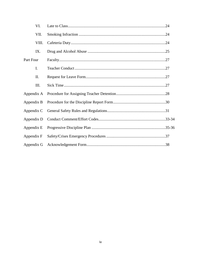| VI.        |  |
|------------|--|
| VII.       |  |
| VIII.      |  |
| IX.        |  |
| Part Four  |  |
| I.         |  |
| II.        |  |
| Ш.         |  |
| Appendix A |  |
| Appendix B |  |
| Appendix C |  |
| Appendix D |  |
| Appendix E |  |
| Appendix F |  |
| Appendix G |  |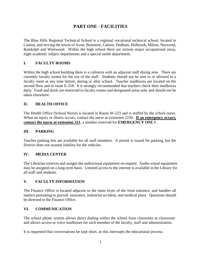## **PART ONE - FACILITIES**

The Blue Hills Regional Technical School is a regional vocational technical school, located in Canton, and serving the towns of Avon, Braintree, Canton, Dedham, Holbrook, Milton, Norwood, Randolph and Westwood. Within the high school there are sixteen major occupational areas, eight academic subject departments and a special needs department.

#### **I. FACULTY ROOMS**

Within the high school building there is a cafeteria with an adjacent staff dining area. There are currently faculty rooms for the use of the staff. Students should not be sent to or allowed in a faculty room at any time before, during or after school. Teacher mailboxes are located on the second floor and in room E-318. It is strongly recommended that teachers check their mailboxes daily. Food and drink are restricted to faculty rooms and designated areas only and should not be taken elsewhere.

#### **II. HEALTH OFFICE**

The Health Office (School Nurse) is located in Room W-223 and is staffed by the school nurse. When an injury or illness occurs, contact the nurse at extension 2230. **If an emergency occurs, contact the nurse at extension 311**, a number reserved for **EMERGENCY ONL**Y.

#### **III. PARKING**

Teacher parking lots are available for all staff members. A permit is issued for parking, but the District does not assume liability for the vehicles.

#### **IV. MEDIA CENTER**

The Librarian reserves and assigns the audiovisual equipment on request. Audio-visual equipment may be assigned on a long-term basis. Limited access to the internet is available in the Library for all staff and students.

#### **V. FACULTY INFORMATION**

The Finance Office is located adjacent to the main foyer of the front entrance, and handles all matters pertaining to payroll, insurance, industrial accident, and medical plans. Questions should be directed to the Finance Office.

#### **VI. COMMUNICATION**

The school phone system allows direct dialing within the school from classroom to classroom and allows access to voice mailboxes for each member of the faculty, staff and administration.

It is requested that conversations be kept short, as this interrupts the educational process.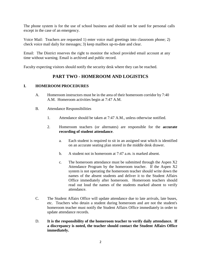The phone system is for the use of school business and should not be used for personal calls except in the case of an emergency.

Voice Mail: Teachers are requested 1) enter voice mail greetings into classroom phone; 2) check voice mail daily for messages; 3) keep mailbox up-to-date and clear.

Email: The District reserves the right to monitor the school provided email account at any time without warning. Email is archived and public record.

Faculty expecting visitors should notify the security desk where they can be reached.

### **PART TWO - HOMEROOM AND LOGISTICS**

#### **I. HOMEROOM PROCEDURES**

- A. Homeroom instructors must be in the area of their homeroom corridor by 7:40 A.M. Homeroom activities begin at 7:47 A.M.
- B. Attendance Responsibilities
	- 1. Attendance should be taken at 7:47 A.M., unless otherwise notified.
	- 2. Homeroom teachers (or alternates) are responsible for the **accurate recording of student attendance**.
		- a. Each student is required to sit in an assigned seat which is identified on an accurate seating plan stored in the middle desk drawer.
		- b. A student not in homeroom at 7:47 a.m. is marked absent.
		- c. The homeroom attendance must be submitted through the Aspen X2 Attendance Program by the homeroom teacher. If the Aspen X2 system is not operating the homeroom teacher should write down the names of the absent students and deliver it to the Student Affairs Office immediately after homeroom. Homeroom teachers should read out loud the names of the students marked absent to verify attendance.
- C. The Student Affairs Office will update attendance due to late arrivals, late buses, etc. Teachers who detain a student during homeroom and are not the student's homeroom teacher must notify the Student Affairs Office immediately in order to update attendance records.
- D. **It is the responsibility of the homeroom teacher to verify daily attendance. If a discrepancy is noted, the teacher should contact the Student Affairs Office immediately.**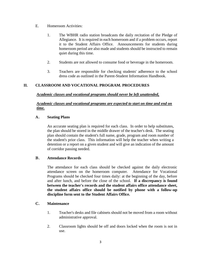- E. Homeroom Activities:
	- 1. The WBHR radio station broadcasts the daily recitation of the Pledge of Allegiance. It is required in each homeroom and if a problem occurs, report it to the Student Affairs Office. Announcements for students during homeroom period are also made and students should be instructed to remain quiet during this time.
	- 2. Students are not allowed to consume food or beverage in the homeroom.
	- 3. Teachers are responsible for checking students' adherence to the school dress code as outlined in the Parent-Student Information Handbook.

#### **II. CLASSROOM AND VOCATIONAL PROGRAM. PROCEDURES**

#### *Academic classes and vocational programs should never be left unattended,*

#### *Academic classes and vocational programs are expected to start on time and end on time.*

#### **A. Seating Plans**

An accurate seating plan is required for each class. In order to help substitutes, the plan should be stored in the middle drawer of the teacher's desk. The seating plan should contain the student's full name, grade, program and room number of the student's prior class. This information will help the teacher when writing a detention or a report on a given student and will give an indication of the amount of corridor passing needed.

#### **B. Attendance Records**

The attendance for each class should be checked against the daily electronic attendance screen on the homeroom computer. Attendance for Vocational Programs should be checked four times daily: at the beginning of the day, before and after lunch, and before the close of the school. **If a discrepancy is found between the teacher's records and the student affairs office attendance sheet, the student affairs office should be notified by phone with a follow-up discipline form sent to the Student Affairs Office.**

#### **C. Maintenance**

- 1. Teacher's desks and file cabinets should not be moved from a room without administrative approval.
- 2. Classroom lights should be off and doors locked when the room is not in use.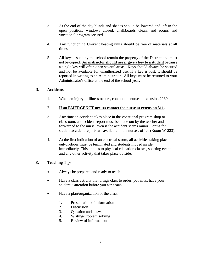- 3. At the end of the day blinds and shades should be lowered and left in the open position, windows closed, chalkboards clean, and rooms and vocational program secured.
- 4. Any functioning Univent heating units should be free of materials at all times.
- 5. All keys issued by the school remain the property of the District and must not be copied. **An instructor should never give a key to a student** because a single key will often open several areas. Keys should always be secured and not be available for unauthorized use. If a key is lost, it should be reported in writing to an Administrator. All keys must be returned to your Administrator's office at the end of the school year.

#### **D. Accidents**

1. When an injury or illness occurs, contact the nurse at extension 2230.

#### 2. **If an EMERGENCY occurs contact the nurse at extension 311.**

- 3. Any time an accident takes place in the vocational program shop or classroom, an accident report must be made out by the teacher and forwarded to the nurse, even if the accident seems minor. Forms for student accident reports are available in the nurse's office (Room W-223).
- 4. At the first indication of an electrical storm, all activities taking place out-of-doors must be terminated and students moved inside immediately. This applies to physical education classes, sporting events and any other activity that takes place outside.

#### **E. Teaching Tips**

- Always be prepared and ready to teach.
- Have a class activity that brings class to order: you must have your student's attention before you can teach.
- Have a plan/organization of the class:
	- 1. Presentation of information
	- 2. Discussion
	- 3. Question and answer
	- 4. Writing/Problem solving
	- 5. Review of information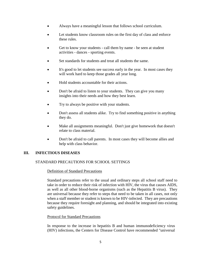- Always have a meaningful lesson that follows school curriculum.
- Let students know classroom rules on the first day of class and enforce these rules.
- Get to know your students call them by name be seen at student activities - dances - sporting events.
- Set standards for students and treat all students the same.
- It's good to let students see success early in the year. In most cases they will work hard to keep those grades all year long.
- Hold students accountable for their actions.
- Don't be afraid to listen to your students. They can give you many insights into their needs and how they best learn.
- Try to always be positive with your students.
- Don't assess all students alike. Try to find something positive in anything they do.
- Make all assignments meaningful. Don't just give homework that doesn't relate to class material.
- Don't be afraid to call parents. In most cases they will become allies and help with class behavior.

#### **III. INFECTIOUS DISEASES**

#### STANDARD PRECAUTIONS FOR SCHOOL SETTINGS

#### Definition of Standard Precautions

Standard precautions refer to the usual and ordinary steps all school staff need to take in order to reduce their risk of infection with HIV, the virus that causes AIDS, as well as all other blood-borne organisms (such as the Hepatitis B virus). They are universal because they refer to steps that need to be taken in all cases, not only when a staff member or student is known to be HIV-infected. They are precautions because they require foresight and planning, and should be integrated into existing safety guidelines.

#### Protocol for Standard Precautions

In response to the increase in hepatitis B and human immunodeficiency virus (HIV) infections, the Centers for Disease Control have recommended "universal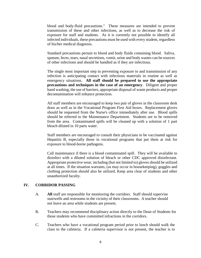blood and body-fluid precautions." These measures are intended to prevent transmission of these and other infections, as well as to decrease the risk of exposure for staff and students. As it is currently not possible to identify all infected individuals, these precautions must be used with every student, regardless of his/her medical diagnosis.

Standard precautions pertain to blood and body fluids containing blood. Saliva, sputum, feces, tears, nasal secretions, vomit, urine and body wastes can be sources of other infections and should be handled as if they are infectious.

The single most important step in preventing exposure to and transmission of any infection is anticipating contact with infectious materials in routine as well as emergency situations. **All staff should be prepared to use the appropriate precautions and techniques in the case of an emergency**. Diligent and proper hand washing, the use of barriers, appropriate disposal of waste products and proper decontamination will enhance protection.

All staff members are encouraged to keep two pair of gloves in the classroom desk draw as well as in the Vocational Program First Aid boxes. Replacement gloves should be requested from the Nurse's office immediately after use. Blood spills should be referred to the Maintenance Department. Students are to be removed from the area. Contaminated spills will be cleaned up with a solution of 1 part bleach diluted in 10 parts water.

Staff members are encouraged to consult their physicians to be vaccinated against Hepatitis B, especially those in vocational programs that put them at risk for exposure to blood-borne pathogens.

Call maintenance if there is a blood contaminated spill. They will be available to disinfect with a diluted solution of bleach or other CDC approved disinfectant. Appropriate protective wear, including (but not limited to) gloves should be utilized at all times. If the situation warrants, (as may occur in housekeeping), goggles and clothing protection should also be utilized. Keep area clear of students and other unauthorized faculty.

#### **IV. CORRIDOR PASSING**

- A. **All** staff are responsible for monitoring the corridors. Staff should supervise stairwells and restrooms in the vicinity of their classrooms. A teacher should not leave an area while students are present.
- B. Teachers may recommend disciplinary action directly to the Dean of Students for those students who have committed infractions in the corridors.
- C. Teachers who have a vocational program period prior to lunch should walk the class to the cafeteria. If a cafeteria supervisor is not present, the teacher is to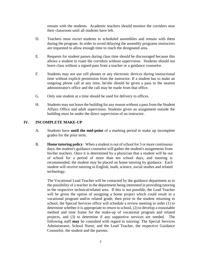remain with the students. Academic teachers should monitor the corridors near their classroom until all students have left.

- D. Teachers must escort students to scheduled assemblies and remain with them during the program. In order to avoid delaying the assembly programs instructors are requested to allow enough time to reach the designated area.
- E. Requests for student passes during class time should be discouraged because this allows a student to roam the corridors without supervision. Students should not leave class without a signed pass from a teacher or a guidance counselor.
- F. Students may not use cell phones or any electronic devices during instructional time without explicit permission from the instructor. If a student has to make an outgoing phone call at any time, he/she should be given a pass to the nearest administrator's office and the call may be made from that office.
- G. Only one student at a time should be used for delivery to offices.
- H. Students may not leave the building for any reason without a pass from the Student Affairs Office and adult supervision. Students given an assignment outside the building must be under the direct supervision of an instructor.

#### **IV. INCOMPLETE MAKE-UP**

- A. Students have **until the mid-point** of a marking period to make up incomplete grades for the prior term.
- B. **Home tutoring policy**: When a student is out of school for 3 or more continuous days, the student's guidance counselor will gather the student's assignments from his/her teachers. Once it is determined by a physician that a student will be out of school for a period of more than ten school days, and tutoring is recommended, the student may be placed on home tutoring by guidance. Each student will receive tutoring in English, math, science, social studies and related technology.

The Vocational Lead Teacher will be contacted by the guidance department as to the possibility of a teacher in the department being interested in providing tutoring in the respective technical/related area. If this is not possible, the Lead Teacher will be given the option of assigning a home project which could result in a vocational program and/or related grade, then prior to the student returning to school, the Special Services office will schedule a review meeting in order (1) to determine whether it is appropriate to return to school, (2) to develop a reasonable method and time frame for the make-up of vocational program and related projects, and (3) to determine if any supportive services are needed. The following staff **may** be consulted with regard to tutoring: The Special Services Administrator, School Nurse, and the Lead Teacher, the respective Guidance Counselor, the student and the parents.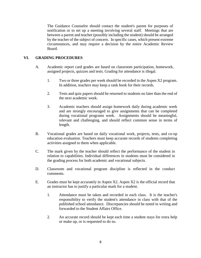The Guidance Counselor should contact the student's parent for purposes of notification or to set up a meeting involving several staff. Meetings that are between a parent and teacher (possibly including the student) should be arranged by the teacher of the subject of concern. In specific cases, which present extreme circumstances, and may require a decision by the entire Academic Review Board.

#### **VI. GRADING PROCEDURES**

- A. Academic report card grades are based on classroom participation, homework, assigned projects, quizzes and tests. Grading for attendance is illegal.
	- 1. Two or three grades per week should be recorded in the Aspen X2 program. In addition, teachers may keep a rank book for their records.
	- 2. Tests and quiz papers should be returned to students no later than the end of the next academic week.
	- 3. Academic teachers should assign homework daily during academic week and are strongly encouraged to give assignments that can be completed during vocational programs week. Assignments should be meaningful, relevant and challenging, and should reflect common sense in terms of length.
- B. Vocational grades are based on daily vocational work, projects, tests, and co-op education evaluation. Teachers must keep accurate records of students completing activities assigned to them when applicable.
- C. The mark given by the teacher should reflect the performance of the student in relation to capabilities. Individual differences in students must be considered in the grading process for both academic and vocational subjects.
- D. Classroom and vocational program discipline is reflected in the conduct comments.
- E. Grades must be kept accurately in Aspen X2. Aspen X2 is the official record that an instructor has to justify a particular mark for a student.
	- 1. Attendance must be taken and recorded in each class. It is the teacher's responsibility to verify the student's attendance in class with that of the published school attendance. Discrepancies should be noted in writing and forwarded to the Student Affairs Office.
	- 2. An accurate record should be kept each time a student stays for extra help or make up, or is requested to do so.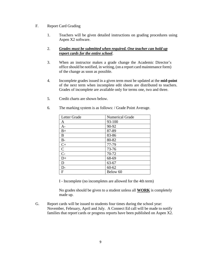#### F. Report Card Grading

1. Teachers will be given detailed instructions on grading procedures using Aspen X2 software.

#### 2. *Grades must be submitted when required. One teacher can hold up report cards for the entire school*.

- 3. When an instructor makes a grade change the Academic Director's office should be notified, in writing, (on a report card maintenance form) of the change as soon as possible.
- 4. Incomplete grades issued in a given term must be updated at the **mid-point** of the next term when incomplete edit sheets are distributed to teachers. Grades of incomplete are available only for terms one, two and three.
- 5. Credit charts are shown below.

| Letter Grade    | <b>Numerical Grade</b> |
|-----------------|------------------------|
| $\mathbf{A}$    | 93-100                 |
| $A-$            | 90-92                  |
| $B+$            | 87-89                  |
| B               | 83-86                  |
| $B-$            | 80-82                  |
| $C+$            | 77-79                  |
| $\mathbf C$     | 73-76                  |
| $\frac{z}{C}$   | 70-72                  |
| $\overline{D+}$ | 68-69                  |
| D               | 63-67                  |
| $D-$            | $60 - 62$              |
| $\mathbf{F}$    | Below 60               |

6. The marking system is as follows: / Grade Point Average.

I - Incomplete (no incompletes are allowed for the 4th term)

No grades should be given to a student unless all **WORK** is completely made up.

G. Report cards will be issued to students four times during the school year: November, February, April and July. A Connect Ed call will be made to notify families that report cards or progress reports have been published on Aspen X2.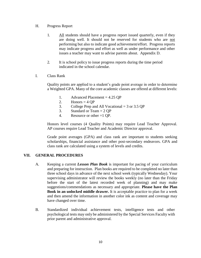- H. Progress Report
	- 1. All students should have a progress report issued quarterly, even if they are doing well. It should not be reserved for students who are not performing but also to indicate good achievement/effort. Progress reports may indicate progress and effort as well as under performance and other issues a teacher may want to advise parents about. Appendix D.
	- 2. It is school policy to issue progress reports during the time period indicated in the school calendar.
- I. Class Rank

Quality points are applied to a student's grade point average in order to determine a Weighted GPA. Many of the core academic classes are offered at different levels:

- 1. Advanced Placement = 4.25 QP
- 2. Honors =  $4 \text{ OP}$
- 3. College Prep and All Vocational  $=$  3 or 3.5 QP
- 3. Standard or Team = 2 QP
- 4. Resource or other =1 QP.

Honors level courses (4 Quality Points) may require Lead Teacher Approval. AP courses require Lead Teacher and Academic Director approval.

Grade point averages (GPA) and class rank are important to students seeking scholarships, financial assistance and other post-secondary endeavors. GPA and class rank are calculated using a system of levels and credits.

#### **VII. GENERAL PROCEDURES**

- A. Keeping a current *Lesson Plan Book* is important for pacing of your curriculum and preparing for instruction. Plan books are required to be completed no later than three school days in advance of the next school week (typically Wednesday). Your supervising administrator will review the books weekly (no later than the Friday before the start of the latest recorded week of planning) and may make suggestions/commendations as necessary and appropriate. **Please have the Plan Book in an unlocked middle drawer.** It is acceptable practice to plan for a week and then amend the information in another color ink as content and coverage may have changed over time.
- B. Standardized individual achievement tests, intelligence tests and other psychological tests may only be administered by the Special Services Faculty with prior parent and administrative approval.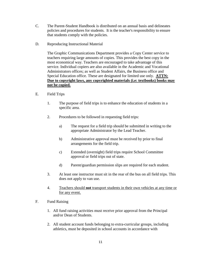- C. The Parent-Student Handbook is distributed on an annual basis and delineates policies and procedures for students. It is the teacher's responsibility to ensure that students comply with the policies.
- D. Reproducing Instructional Material

The Graphic Communications Department provides a Copy Center service to teachers requiring large amounts of copies. This provides the best copy in the most economical way. Teachers are encouraged to take advantage of this service. Individual copiers are also available in the Academic and Vocational Administrators offices; as well as Student Affairs, the Business office and Special Education office. These are designated for limited use only. **ATTN: Due to copyright laws, any copyrighted materials (i.e: textbooks) books may not be copied.**

- E. Field Trips
	- 1. The purpose of field trips is to enhance the education of students in a specific area.
	- 2. Procedures to be followed in requesting field trips:
		- a) The request for a field trip should be submitted in writing to the appropriate Administrator by the Lead Teacher.
		- b) Administrative approval must be received by prior to final arrangements for the field trip.
		- c) Extended (overnight) field trips require School Committee approval or field trips out of state.
		- d) Parent/guardian permission slips are required for each student.
	- 3. At least one instructor must sit in the rear of the bus on all field trips. This does not apply to van use.
	- 4. Teachers should **not** transport students in their own vehicles at any time or for any event.
- F. Fund Raising
	- 1. All fund raising activities must receive prior approval from the Principal and/or Dean of Students.
	- 2. All student account funds belonging to extra-curricular groups, including athletics, must be deposited in school accounts in accordance with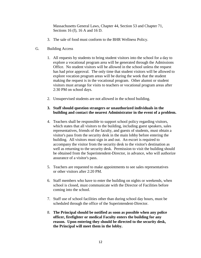Massachusetts General Laws, Chapter 44, Section 53 and Chapter 71, Sections 16 (f), 16 A and 16 D.

- 3. The sale of food must conform to the BHR Wellness Policy.
- G. Building Access
	- 1. All requests by students to bring student visitors into the school for a day to explore a vocational program area will be generated through the Admissions Office. No student visitors will be allowed in the school unless the request has had prior approval. The only time that student visitors will be allowed to explore vocation program areas will be during the week that the student making the request is in the vocational program. Other alumni or student visitors must arrange for visits to teachers or vocational program areas after 2:30 PM on school days.
	- 2. Unsupervised students are not allowed in the school building.

#### **3. Staff should question strangers or unauthorized individuals in the building and contact the nearest Administrator in the event of a problem.**

- 4. Teachers shall be responsible to support school policy regarding visitors, which states that all visitors to the building, including guest speakers, sales representatives, friends of the faculty, and guests of students, must obtain a visitor's pass from the security desk in the main lobby before entering the building. All visitors must sign in and out. An escort is required to accompany the visitor from the security desk to the visitor's destination as well as returning to the security desk. Permission to visit the building should be obtained from the Superintendent-Director, in advance, who will authorize assurance of a visitor's pass.
- 5. Teachers are requested to make appointments to see sales representatives or other visitors after 2:20 PM.
- 6. Staff members who have to enter the building on nights or weekends, when school is closed, must communicate with the Director of Facilities before coming into the school.
- 7. Staff use of school facilities other than during school day hours, must be scheduled through the office of the Superintendent-Director.
- 8. **The Principal should be notified as soon as possible when any police officer, firefighter or medical Faculty enters the building for any reason. Upon entering they should be directed to the security desk, the Principal will meet them in the lobby.**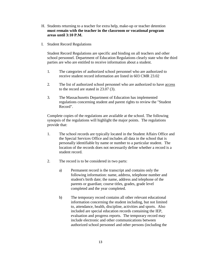- H. Students returning to a teacher for extra help, make-up or teacher detention **must remain with the teacher in the classroom or vocational program areas until 3:10 P.M.**
- I. Student Record Regulations

Student Record Regulations are specific and binding on all teachers and other school personnel. Department of Education Regulations clearly state who the third parties are who are entitled to receive information about a student.

- 1. The categories of authorized school personnel who are authorized to receive student record information are listed in 603 CMR 23.02
- 2. The list of authorized school personnel who are authorized to have access to the record are stated in 23.07 (3).
- 3. The Massachusetts Department of Education has implemented regulations concerning student and parent rights to review the "Student Record".

Complete copies of the regulations are available at the school. The following synopsis of the regulations will highlight the major points. The regulations provide that:

- 1. The school records are typically located in the Student Affairs Office and the Special Services Office and includes all data in the school that is personally identifiable by name or number to a particular student. The location of the records does not necessarily define whether a record is a student record.
- 2. The record is to be considered in two parts:
	- a) Permanent record is the transcript and contains only the following information: name, address, telephone number and student's birth date; the name, address and telephone of the parents or guardian; course titles, grades, grade level completed and the year completed.
	- b) The temporary record contains all other relevant educational information concerning the student including, but not limited to, attendance, health, discipline, activities and sports. Also included are special education records containing the IEP, evaluation and progress reports. The temporary record may include electronic and other communications between authorized school personnel and other persons (including the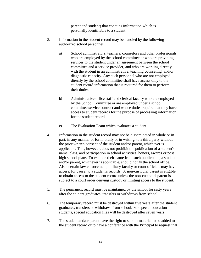parent and student) that contains information which is personally identifiable to a student.

- 3. Information in the student record may be handled by the following authorized school personnel:
	- a) School administrators, teachers, counselors and other professionals who are employed by the school committee or who are providing services to the student under an agreement between the school committee and a service provider, and who are working directly with the student in an administrative, teaching counseling, and/or diagnostic capacity. Any such personnel who are not employed directly by the school committee shall have access only to the student record information that is required for them to perform their duties.
	- b) Administrative office staff and clerical faculty who are employed by the School Committee or are employed under a school committee service contract and whose duties require that they have access to student records for the purpose of processing information for the student record.
	- c) The Evaluation Team which evaluates a student.
- 4. Information in the student record may not be disseminated in whole or in part, in any manner or form, orally or in writing, to a third party without the prior written consent of the student and/or parent, whichever is applicable. This, however, does not prohibit the publication of a student's name, class, and participation in school activities, honors, awards or post high school plans. To exclude their name from such publication, a student and/or parent, whichever is applicable, should notify the school office. Also, certain law enforcement, military faculty or court officials may have access, for cause, to a student's records. A non-custodial parent is eligible to obtain access to the student record unless the non-custodial parent is subject to a court order denying custody or limiting access to the student.
- 5. The permanent record must be maintained by the school for sixty years after the student graduates, transfers or withdraws from school.
- 6. The temporary record must be destroyed within five years after the student graduates, transfers or withdraws from school. For special education students, special education files will be destroyed after seven years.
- 7. The student and/or parent have the right to submit material to be added to the student record or to have a conference with the Principal to request that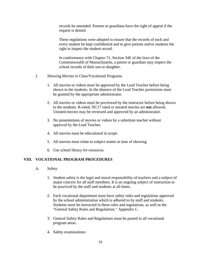records be amended. Parents or guardians have the right of appeal if the request is denied.

These regulations were adopted to ensure that the records of each and every student be kept confidential and to give parents and/or students the right to inspect the student record.

In conformance with Chapter 71, Section 34E of the laws of the Commonwealth of Massachusetts, a parent or guardian may inspect the school records of their son or daughter.

- J. Showing Movies in Class/Vocational Programs
	- 1. All movies or videos must be approved by the Lead Teacher before being shown to the students. In the absence of the Lead Teacher permission must be granted by the appropriate administrator.
	- 2. All movies or videos must be previewed by the instructor before being shown to the students. R-rated, NC17 rated or unrated movies are **not** allowed. Unrated movies may be reviewed and approved by an administrator.
	- 3. No presentations of movies or videos by a substitute teacher without approval by the Lead Teacher.
	- 4. All movies must be educational in scope.
	- 5. All movies must relate to subject matter at time of showing
	- 6. Use school library for resources.

#### **VIII. VOCATIONAL PROGRAM PROCEDURES**

- A. Safety
	- 1. Student safety is the legal and moral responsibility of teachers and a subject of major concern for all staff members. It is an ongoing subject of instruction to be practiced by the staff and students at all times.
	- 2. Each vocational department must have safety rules and regulations approved by the school administration which is adhered to by staff and students. Students must be instructed in these rules and regulations, as well as the "General Safety Rules and Regulations." Appendix C.
	- 3. General Safety Rules and Regulations must be posted in all vocational program areas.
	- 4. Safety examinations: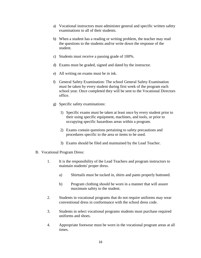- a) Vocational instructors must administer general and specific written safety examinations to all of their students.
- b) When a student has a reading or writing problem, the teacher may read the questions to the students and/or write down the response of the student.
- c) Students must receive a passing grade of 100%.
- d) Exams must be graded, signed and dated by the instructor.
- e) All writing on exams must be in ink.
- f) General Safety Examination: The school General Safety Examination must be taken by every student during first week of the program each school year. Once completed they will be sent to the Vocational Directors office.
- g) Specific safety examinations:
	- 1) Specific exams must be taken at least once by every student prior to their using specific equipment, machines, and tools, or prior to occupying specific hazardous areas within a program.
	- 2) Exams contain questions pertaining to safety precautions and procedures specific to the area or items to be used.
	- 3) Exams should be filed and maintained by the Lead Teacher.
- B. Vocational Program Dress:
	- 1. It is the responsibility of the Lead Teachers and program instructors to maintain students' proper dress.
		- a) Shirttails must be tucked in, shirts and pants properly buttoned.
		- b) Program clothing should be worn in a manner that will assure maximum safety to the student.
	- 2. Students in vocational programs that do not require uniforms may wear conventional dress in conformance with the school dress code.
	- 3. Students in select vocational programs students must purchase required uniforms and shoes.
	- 4. Appropriate footwear must be worn in the vocational program areas at all times.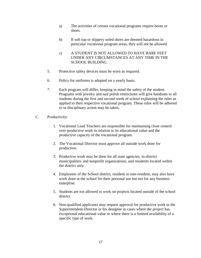- a) The activities of certain vocational programs require boots or shoes.
- b) If soft top or slippery soled shoes are deemed hazardous in particular vocational program areas, they will not be allowed.
- c) A STUDENT IS NOT ALLOWED TO HAVE BARE FEET UNDER ANY CIRCUMSTANCES AT ANY TIME IN THE SCHOOL BUILDING.
- 5. Protective safety devices must be worn as required.
- 6. Policy for uniforms is adopted on a yearly basis.
- 7. Each program will differ, keeping in mind the safety of the student. Programs with jewelry and nail polish restrictions will give handouts to all students during the first and second week of school explaining the rules as applied to their respective vocational program. These rules will be adhered to or disciplinary action may be taken.
- C. Productivity:
	- 1. Vocational Lead Teachers are responsible for maintaining close control over productive work in relation to its educational value and the productive capacity of the vocational program.
	- 2. The Vocational Director must approve all outside work done for production.
	- 3. Productive work may be done for all state agencies, in-district municipalities and nonprofit organizations, and residents located within the district only.
	- 4. Employees of the School district, resident or non-resident, may also have work done at the school for their personal use but not for any business enterprise.
	- 5. Students are not allowed to work on projects located outside of the school district.
	- 6. Non-qualified applicants may request approval for productive work to the Superintendent-Director or his designee in cases where the project has exceptional educational value or where there is a limited availability of a specific type of work.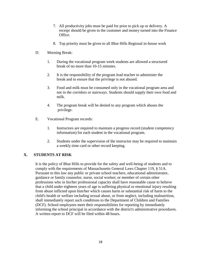- 7. All productivity jobs must be paid for prior to pick up or delivery. A receipt should be given to the customer and money turned into the Finance Office.
- 8. Top priority must be given to all Blue Hills Regional in-house work
- D. Morning Break:
	- 1. During the vocational program week students are allowed a structured break of no more than 10-15 minutes.
	- 2. It is the responsibility of the program lead teacher to administer the break and to ensure that the privilege is not abused.
	- 3. Food and milk must be consumed only in the vocational program area and not in the corridors or stairways. Students should supply their own food and milk.
	- 4. The program break will be denied to any program which abuses the privilege.
- E. Vocational Program records:
	- 1. Instructors are required to maintain a progress record (student competency information) for each student in the vocational program.
	- 2. Students under the supervision of the instructor may be required to maintain a weekly time card or other record keeping.

#### **X. STUDENTS AT RISK**

It is the policy of Blue Hills to provide for the safety and well-being of students and to comply with the requirements of Massachusetts General Laws Chapter 119, § 51A. Pursuant to this law any public or private school teachers, educational administrator, guidance or family counselor, nurse, social worker; or member of certain other professions who in his/her professional capacity shall have reasonable cause to believe that a child under eighteen years of age is suffering physical or emotional injury resulting from abuse inflicted upon him/her which causes harm or substantial risk of harm to the child's health or welfare including sexual abuse, or from neglect, including malnutrition, shall immediately report such conditions to the Department of Children and Families (DCF). School employees meet their responsibilities for reporting by immediately informing the school principal in accordance with the district's administrative procedures. A written report to DCF will be filed within 48 hours.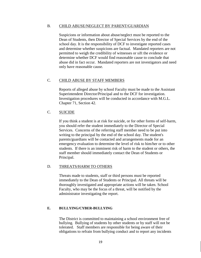#### B. CHILD ABUSE/NEGLECT BY PARENT/GUARDIAN

Suspicions or information about abuse/neglect must be reported to the Dean of Students, then Director of Special Services by the end of the school day. It is the responsibility of DCF to investigate reported cases and determine whether suspicions are factual. Mandated reporters are not permitted to weigh the credibility of witnesses or sift the evidence or determine whether DCF would find reasonable cause to conclude that abuse did in fact occur. Mandated reporters are not investigators and need only have reasonable cause.

#### C. CHILD ABUSE BY STAFF MEMBERS

Reports of alleged abuse by school Faculty must be made to the Assistant Superintendent Director/Principal and to the DCF for investigation. Investigation procedures will be conducted in accordance with M.G.L. Chapter 71, Section 42.

#### C. SUICIDE

If you think a student is at risk for suicide, or for other forms of self-harm, you should refer the student immediately to the Director of Special Services. Concerns of the referring staff member need to be put into writing to the principal by the end of the school day. The student's parents/guardians will be contacted and arrangements made for an emergency evaluation to determine the level of risk to him/her or to other students. If there is an imminent risk of harm to the student or others, the staff member should immediately contact the Dean of Students or Principal.

#### D. THREATS/HARM TO OTHERS

Threats made to students, staff or third persons must be reported immediately to the Dean of Students or Principal. All threats will be thoroughly investigated and appropriate actions will be taken. School Faculty, who may be the focus of a threat, will be notified by the administrator investigating the report.

#### **E. BULLYING/CYBER-BULLYING**

The District is committed to maintaining a school environment free of bullying. Bullying of students by other students or by staff will not be tolerated. Staff members are responsible for being aware of their obligations to refrain from bullying conduct and to report any incidents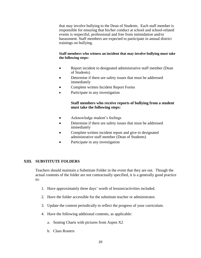that may involve bullying to the Dean of Students. Each staff member is responsible for ensuring that his/her conduct at school and school-related events is respectful, professional and free from intimidation and/or harassment. Staff members are expected to participate in annual district trainings on bullying.

#### **Staff members who witness an incident that may involve bullying must take the following steps:**

- Report incident to designated administrative staff member (Dean of Students)
- Determine if there are safety issues that must be addressed immediately
- Complete written Incident Report Forms
- Participate in any investigation

#### **Staff members who receive reports of bullying from a student must take the following steps:**

- Acknowledge student's feelings
- Determine if there are safety issues that must be addressed immediately
- Complete written incident report and give to designated administrative staff member (Dean of Students)
- Participate in any investigation

#### **XIII. SUBSTITUTE FOLDERS**

Teachers should maintain a Substitute Folder in the event that they are out. Though the actual contents of the folder are not contractually specified, it is a generally good practice to:

- 1. Have approximately three days' worth of lessons/activities included.
- 2. Have the folder accessible for the substitute teacher or administrator.
- 3. Update the content periodically to reflect the progress of your curriculum.
- 4. Have the following additional contents, as applicable:
	- a. Seating Charts with pictures from Aspen X2
	- b. Class Rosters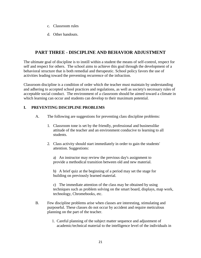- c. Classroom rules
- d. Other handouts.

## **PART THREE - DISCIPLINE AND BEHAVIOR ADJUSTMENT**

The ultimate goal of discipline is to instill within a student the means of self-control, respect for self and respect for others. The school aims to achieve this goal through the development of a behavioral structure that is both remedial and therapeutic. School policy favors the use of activities leading toward the preventing recurrence of the infraction.

Classroom discipline is a condition of order which the teacher must maintain by understanding and adhering to accepted school practices and regulations, as well as society's necessary rules of acceptable social conduct. The environment of a classroom should be aimed toward a climate in which learning can occur and students can develop to their maximum potential.

#### **I. PREVENTING DISCIPLINE PROBLEMS**

- A. The following are suggestions for preventing class discipline problems:
	- 1. Classroom tone is set by the friendly, professional and businesslike attitude of the teacher and an environment conducive to learning to all students.
	- 2. Class activity should start immediately in order to gain the students' attention. Suggestions:

a) An instructor may review the previous day's assignment to provide a methodical transition between old and new material.

b) A brief quiz at the beginning of a period may set the stage for building on previously learned material.

c) The immediate attention of the class may be obtained by using techniques such as problem solving on the smart board, displays, map work, technology, Chromebooks, etc.

- B. Few discipline problems arise when classes are interesting, stimulating and purposeful. These classes do not occur by accident and require meticulous planning on the part of the teacher.
	- 1. Careful planning of the subject matter sequence and adjustment of academic/technical material to the intelligence level of the individuals in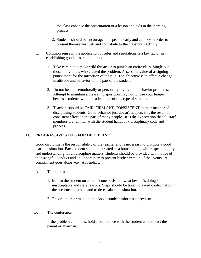the class enhance the presentation of a lesson and aids in the learning process.

- 2. Students should be encouraged to speak clearly and audibly in order to present themselves well and contribute to the classroom activity.
- C. Common sense in the application of rules and regulations is a key factor in establishing good classroom control.
	- 1. Take care not to make wild threats or to punish an entire class. Single out those individuals who created the problem. Assess the value of assigning punishment for the infraction of the rule. The objective is to affect a change in attitude and behavior on the part of the student.
	- 2. Do not become emotionally or personally involved in behavior problems. Attempt to maintain a pleasant disposition. Try not to lose your temper because students will take advantage of this type of situation.
	- 3. Teachers should be FAIR, FIRM AND CONSISTENT in their manner of disciplining students. Good behavior just doesn't happen; it is the result of consistent effort on the part of many people. It is the expectation that all staff members are familiar with the student handbook disciplinary code and process.

#### **II. PROGRESSIVE STEPS FOR DISCIPLINE**

Good discipline is the responsibility of the teacher and is necessary to promote a good learning situation. Each student should be treated as a human being with respect, dignity and understanding. In all discipline matters, students should be provided with notice of the wrongful conduct and an opportunity to present his/her version of the events. A compliment goes along way. Appendix E

- A. The reprimand:
	- 1. Inform the student on a one-to-one basis that what he/she is doing is unacceptable and state reasons. Steps should be taken to avoid confrontation in the presence of others and to de-escalate the situation.
	- 2. Record the reprimand in the Aspen student information system.
- B. The conference:

If the problem continues, hold a conference with the student and contact the parent or guardian.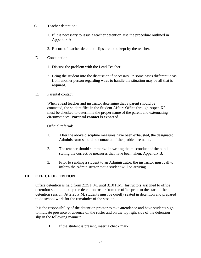- C. Teacher detention:
	- 1. If it is necessary to issue a teacher detention, use the procedure outlined in Appendix A.
	- 2. Record of teacher detention slips are to be kept by the teacher.
- D. Consultation:
	- 1. Discuss the problem with the Lead Teacher.
	- 2. Bring the student into the discussion if necessary. In some cases different ideas from another person regarding ways to handle the situation may be all that is required.
- E. Parental contact:

When a lead teacher and instructor determine that a parent should be contacted, the student files in the Student Affairs Office through Aspen X2 must be checked to determine the proper name of the parent and extenuating circumstances. **Parental contact is expected.**

- F. Official referral:
	- 1. After the above discipline measures have been exhausted, the designated Administrator should be contacted if the problem remains.
	- 2. The teacher should summarize in writing the misconduct of the pupil stating the corrective measures that have been taken. Appendix B.
	- 3. Prior to sending a student to an Administrator, the instructor must call to inform the Administrator that a student will be arriving.

#### **III. OFFICE DETENTION**

Office detention is held from 2:25 P.M. until 3:10 P.M. Instructors assigned to office detention should pick up the detention roster from the office prior to the start of the detention session. At 2:25 P.M. students must be quietly seated in detention and prepared to do school work for the remainder of the session.

It is the responsibility of the detention proctor to take attendance and have students sign to indicate presence or absence on the roster and on the top right side of the detention slip in the following manner:

1. If the student is present, insert a check mark.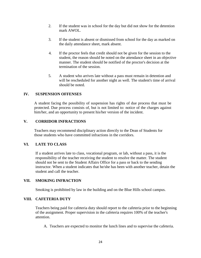- 2. If the student was in school for the day but did not show for the detention mark AWOL.
- 3. If the student is absent or dismissed from school for the day as marked on the daily attendance sheet, mark absent.
- 4. If the proctor feels that credit should not be given for the session to the student, the reason should be noted on the attendance sheet in an objective manner. The student should be notified of the proctor's decision at the termination of the session.
- 5. A student who arrives late without a pass must remain in detention and will be rescheduled for another night as well. The student's time of arrival should be noted.

#### **IV. SUSPENSION OFFENSES**

A student facing the possibility of suspension has rights of due process that must be protected. Due process consists of, but is not limited to: notice of the charges against him/her, and an opportunity to present his/her version of the incident.

#### **V. CORRIDOR INFRACTIONS**

Teachers may recommend disciplinary action directly to the Dean of Students for those students who have committed infractions in the corridors.

#### **VI. LATE TO CLASS**

If a student arrives late to class, vocational program, or lab, without a pass, it is the responsibility of the teacher receiving the student to resolve the matter. The student should not be sent to the Student Affairs Office for a pass or back to the sending instructor. When a student indicates that he/she has been with another teacher, detain the student and call the teacher.

#### **VII. SMOKING INFRACTION**

Smoking is prohibited by law in the building and on the Blue Hills school campus.

#### **VIII. CAFETERIA DUTY**

Teachers being paid for cafeteria duty should report to the cafeteria prior to the beginning of the assignment. Proper supervision in the cafeteria requires 100% of the teacher's attention.

A. Teachers are expected to monitor the lunch lines and to supervise the cafeteria.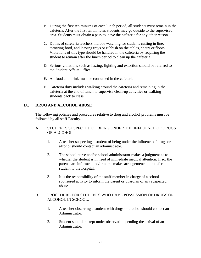- B. During the first ten minutes of each lunch period, all students must remain in the cafeteria. After the first ten minutes students may go outside to the supervised area. Students must obtain a pass to leave the cafeteria for any other reason.
- C. Duties of cafeteria teachers include watching for students cutting in line, throwing food, and leaving trays or rubbish on the tables, chairs or floors. Violations of this type should be handled in the cafeteria by requiring the student to remain after the lunch period to clean up the cafeteria.
- D. Serious violations such as hazing, fighting and extortion should be referred to the Student Affairs Office.
- E. All food and drink must be consumed in the cafeteria.
- F. Cafeteria duty includes walking around the cafeteria and remaining in the cafeteria at the end of lunch to supervise clean-up activities or walking students back to class.

#### **IX. DRUG AND ALCOHOL ABUSE**

The following policies and procedures relative to drug and alcohol problems must be followed by all staff Faculty.

#### A. STUDENTS SUSPECTED OF BEING UNDER THE INFLUENCE OF DRUGS OR ALCOHOL.

- 1. A teacher suspecting a student of being under the influence of drugs or alcohol should contact an administrator.
- 2. The school nurse and/or school administrator makes a judgment as to whether the student is in need of immediate medical attention. If so, the parents are informed and/or nurse makes arrangements to transfer the student to the hospital.
- 3. It is the responsibility of the staff member in charge of a school sponsored activity to inform the parent or guardian of any suspected abuse.

#### B. PROCEDURE FOR STUDENTS WHO HAVE POSSESSION OF DRUGS OR ALCOHOL IN SCHOOL.

- 1. A teacher observing a student with drugs or alcohol should contact an Administrator.
- 2. Student should be kept under observation pending the arrival of an Administrator.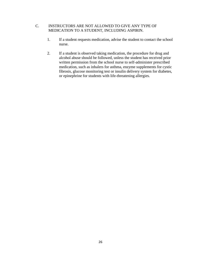#### C. INSTRUCTORS ARE NOT ALLOWED TO GIVE ANY TYPE OF MEDICATION TO A STUDENT, INCLUDING ASPIRIN.

- 1. If a student requests medication, advise the student to contact the school nurse.
- 2. If a student is observed taking medication, the procedure for drug and alcohol abuse should be followed, unless the student has received prior written permission from the school nurse to self-administer prescribed medication, such as inhalers for asthma, enzyme supplements for cystic fibrosis, glucose monitoring test or insulin delivery system for diabetes, or epinephrine for students with life-threatening allergies.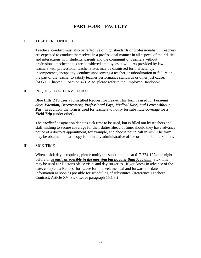## **PART FOUR – FACULTY**

#### I. TEACHER CONDUCT

Teachers' conduct must also be reflective of high standards of professionalism. Teachers are expected to conduct themselves in a professional manner in all aspects of their duties and interactions with students, parents and the community. Teachers without professional teacher status are considered employees at will. As provided by law, teachers with professional teacher status may be dismissed for inefficiency, incompetence, incapacity, conduct unbecoming a teacher, insubordination or failure on the part of the teacher to satisfy teacher performance standards or other just cause. (M.G.L. Chapter 71 Section 42). Also, please refer to the Employee Handbook.

#### II. REQUEST FOR LEAVE FORM

Blue Hills RTS uses a form titled Request for Leave. This form is used for *Personal days, Vacation, Bereavement, Professional Pays, Medical Days, and Leave without Pay.* In addition, the form is used for teachers to notify for substitute coverage for a *Field Trip* (under other).

The *Medical* designation denotes sick time to be used, but is filled out by teachers and staff wishing to secure coverage for their duties ahead of time, should they have advance notice of a doctor's appointment, for example, and choose not to call in sick. The form may be obtained in hard copy form in any administrative office or in the Public Folders.

#### III. SICK TIME

When a sick day is required, please notify the substitute line at 617-774-1274 the night before or *as early as possible in the morning but no later than 7:00 a.m.* Sick time may be used for Doctor's office visits and day surgeries. If you know in advance of the date, complete a Request for Leave form, cheek medical and forward the date information as soon as possible for scheduling of substitutes. (Reference Teacher's Contract, Article XV, Sick Leave paragraph 15.1.3.)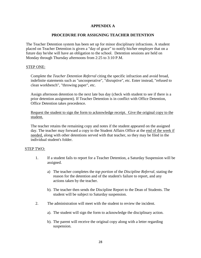#### **APPENDIX A**

#### **PROCEDURE FOR ASSIGNING TEACHER DETENTION**

The Teacher Detention system has been set up for minor disciplinary infractions. A student placed on Teacher Detention is given a "day of grace" to notify his/her employer that on a future day he/she will have an obligation to the school. Detention sessions are held on Monday through Thursday afternoons from 2:25 to 3:10 P.M.

#### STEP ONE:

Complete the *Teacher Detention Referral* citing the specific infraction and avoid broad, indefinite statements such as "uncooperative", "disruptive", etc. Enter instead, "refused to clean workbench", "throwing paper", etc.

Assign afternoon detention to the next late bus day (check with student to see if there is a prior detention assignment). If Teacher Detention is in conflict with Office Detention, Office Detention takes precedence.

Request the student to sign the form to acknowledge receipt. Give the original copy to the student.

The teacher retains the remaining copy and notes if the student appeared on the assigned day. The teacher may forward a copy to the Student Affairs Office at the end of the week if needed, along with other detentions served with that teacher, so they may be filed in the individual student's folder.

#### STEP TWO:

- 1. If a student fails to report for a Teacher Detention, a Saturday Suspension will be assigned.
	- a) The teacher completes the *top portion* of the *Discipline Referral,* stating the reason for the detention and of the student's failure to report, and any actions taken by the teacher.
	- b). The teacher then sends the Discipline Report to the Dean of Students. The student will be subject to Saturday suspension.
- 2. The administration will meet with the student to review the incident.
	- a). The student will sign the form to acknowledge the disciplinary action.
	- b). The parent will receive the original copy along with a letter regarding suspension.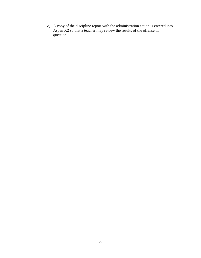c). A copy of the discipline report with the administration action is entered into Aspen X2 so that a teacher may review the results of the offense in question.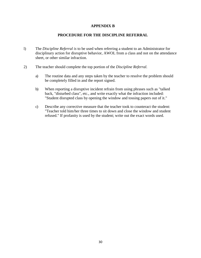#### **APPENDIX B**

#### **PROCEDURE FOR THE DISCIPLINE REFERRAL**

- l) The *Discipline Referral is* to be used when referring a student to an Administrator for disciplinary action for disruptive behavior, AWOL from a class and not on the attendance sheet, or other similar infraction.
- 2) The teacher should complete the top portion of the *Discipline Referral.*
	- a) The routine data and any steps taken by the teacher to resolve the problem should be completely filled in and the report signed.
	- b) When reporting a disruptive incident refrain from using phrases such as "talked back, "disturbed class", etc., and write exactly what the infraction included: "Student disrupted class by opening the window and tossing papers out of it."
	- c) Describe any corrective measure that the teacher took to counteract the student: "Teacher told him/her three times to sit down and close the window and student refused." If profanity is used by the student; write out the exact words used.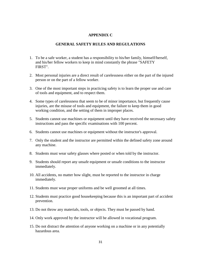#### **APPENDIX C**

#### **GENERAL SAFETY RULES AND REGULATIONS**

- 1. To be a safe worker, a student has a responsibility to his/her family, himself/herself, and his/her fellow workers to keep in mind constantly the phrase "SAFETY FIRST".
- 2. Most personal injuries are a direct result of carelessness either on the part of the injured person or on the part of a fellow worker.
- 3. One of the most important steps in practicing safety is to learn the proper use and care of tools and equipment, and to respect them.
- 4. Some types of carelessness that seem to be of minor importance, but frequently cause injuries, are the misuse of tools and equipment, the failure to keep them in good working condition, and the setting of them in improper places.
- 5. Students cannot use machines or equipment until they have received the necessary safety instructions and pass the specific examinations with 100 percent.
- 6. Students cannot use machines or equipment without the instructor's approval.
- 7. Only the student and the instructor are permitted within the defined safety zone around any machine.
- 8. Students must wear safety glasses where posted or when told by the instructor.
- 9. Students should report any unsafe equipment or unsafe conditions to the instructor immediately.
- 10. All accidents, no matter how slight, must be reported to the instructor in charge immediately.
- 11. Students must wear proper uniforms and be well groomed at all times.
- 12. Students must practice good housekeeping because this is an important part of accident prevention.
- 13. Do not throw any materials, tools, or objects. They must be passed by hand.
- 14. Only work approved by the instructor will be allowed in vocational program.
- 15. Do not distract the attention of anyone working on a machine or in any potentially hazardous area.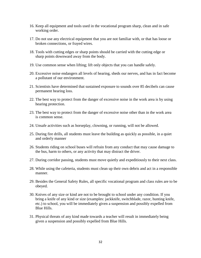- 16. Keep all equipment and tools used in the vocational program sharp, clean and in safe working order.
- 17. Do not use any electrical equipment that you are not familiar with, or that has loose or broken connections, or frayed wires.
- 18. Tools with cutting edges or sharp points should be carried with the cutting edge or sharp points downward away from the body.
- 19. Use common sense when lifting; lift only objects that you can handle safely.
- 20. Excessive noise endangers all levels of hearing, sheds our nerves, and has in fact become a pollutant of our environment.
- 21. Scientists have determined that sustained exposure to sounds over 85 decibels can cause permanent hearing loss.
- 22. The best way to protect from the danger of excessive noise in the work area is by using hearing protection.
- 23. The best way to protect from the danger of excessive noise other than in the work area is common sense.
- 24. Unsafe activities such as horseplay, clowning, or running, will not be allowed.
- 25. During fire drills, all students must leave the building as quickly as possible, in a quiet and orderly manner
- 26. Students riding on school buses will refrain from any conduct that may cause damage to the bus, harm to others, or any activity that may distract the driver.
- 27. During corridor passing, students must move quietly and expeditiously to their next class.
- 28. While using the cafeteria, students must clean up their own debris and act in a responsible manner.
- 29. Besides the General Safety Rules, all specific vocational program and class rules are to be obeyed.
- 30. Knives of any size or kind are not to be brought to school under any condition. If you bring a knife of any kind or size (examples: jackknife, switchblade, razor, hunting knife, etc.) to school, you will be immediately given a suspension and possibly expelled from Blue Hills.
- 31. Physical threats of any kind made towards a teacher will result in immediately being given a suspension and possibly expelled from Blue Hills.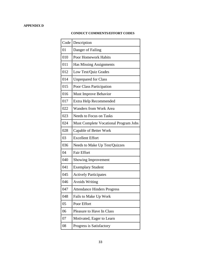#### **APPENDIX D**

#### **CONDUCT COMMENTS/EFFORT CODES**

| Code | Description                           |
|------|---------------------------------------|
| 01   | Danger of Failing                     |
| 010  | <b>Poor Homework Habits</b>           |
| 011  | Has Missing Assignments               |
| 012  | Low Test/Quiz Grades                  |
| 014  | <b>Unprepared for Class</b>           |
| 015  | Poor Class Participation              |
| 016  | <b>Must Improve Behavior</b>          |
| 017  | Extra Help Recommended                |
| 022  | <b>Wanders from Work Area</b>         |
| 023  | <b>Needs to Focus on Tasks</b>        |
| 024  | Must Complete Vocational Program Jobs |
| 028  | Capable of Better Work                |
| 03   | <b>Excellent Effort</b>               |
| 036  | Needs to Make Up Test/Quizzes         |
| 04   | <b>Fair Effort</b>                    |
| 040  | Showing Improvement                   |
| 041  | <b>Exemplary Student</b>              |
| 045  | <b>Actively Participates</b>          |
| 046  | <b>Avoids Writing</b>                 |
| 047  | <b>Attendance Hinders Progress</b>    |
| 048  | Fails to Make Up Work                 |
| 05   | Poor Effort                           |
| 06   | <b>Pleasure to Have In Class</b>      |
| 07   | Motivated, Eager to Learn             |
| 08   | Progress is Satisfactory              |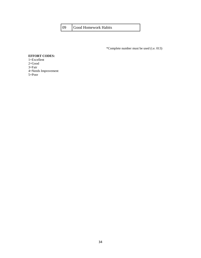#### 09 Good Homework Habits

\*Complete number must be used (i.e. 013)

#### **EFFORT CODES:**

1=Excellent 2=Good 3=Fair 4=Needs Improvement 5=Poor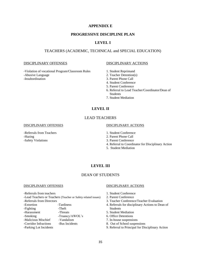#### **APPENDIX E**

#### **PROGRESSIVE DISCIPLINE PLAN**

#### **LEVEL I**

#### TEACHERS (ACADEMIC, TECHNICAL and SPECIAL EDUCATION)

#### DISCIPLINARY OFFENSES DISCIPLINARY ACTIONS

-Violation of vocational Program/Classroom Rules 1. Student Reprimand -Abusive Language 2. Teacher Detention(s)

- 
- 
- 3. Parent Phone Call
- 4. Student Conference
- 5. Parent Conference
- 6. Referral to Lead Teacher/Coordinator/Dean of **Students**
- 7. Student Mediation

#### **LEVEL II**

#### LEAD TEACHERS

#### DISCIPLINARY OFFENSES DISCIPLINARY ACTIONS

-Referrals from Teachers 1. Student Conference -Hazing 2. Parent Phone Call -Safety Violations 3. Parent Conference

- 
- 
- 
- 4. Referral to Coordinator for Disciplinary Action
- 5. Student Mediation

#### **LEVEL III**

#### DEAN OF STUDENTS

-Referrals from teachers 1. Student Conference -Lead Teachers or Teachers (Teacher or Safety related issues) 2. Parent Conference -Referrals from Directors 3. Teacher Conference/Teacher Evaluation -Extortion -Tardiness -Tardiness 4. Referrals for disciplinary Actions to Dean of -Fighting -Theft Students

- 
- 
- 

#### DISCIPLINARY OFFENSES DISCIPLINARY ACTIONS

- 
- 
- 
- 
- -Harassment -Threats -Threats 5. Student Mediation
- -Smoking -Truancy/AWOL's 6. Office Detentions<br>-Malicious Mischief -Vandalism 7. In-house suspensie
	- 7. In-house suspensions
- -Corridor Infractions -Bus Incidents 8. Out of School suspensions
- -Parking Lot Incidents 9. Referral to Principal for Disciplinary Action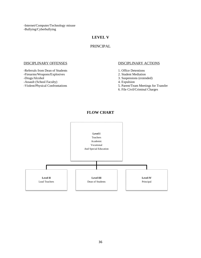-Internet/Computer/Technology misuse -Bullying/Cyberbullying

#### **LEVEL V**

#### PRINCIPAL

-Referrals from Dean of Students<br>
-Firearms/Weapons/Explosives<br>
2. Student Mediation<br>
1. Office Detentions<br>
1. Office Detentions -Firearms/Weapons/Explosives<br>-Drugs/Alcohol

-Assault (School Faculty) 4. Expulsion<br>
-Violent/Physical Confrontations 5. Parent/Tea

#### DISCIPLINARY OFFENSES DISCIPLINARY ACTIONS

- 
- 
- 3. Suspensions (extended)
- 
- 5. Parent/Team Meetings for Transfer
- 6. File Civil/Criminal Charges

#### **FLOW CHART**

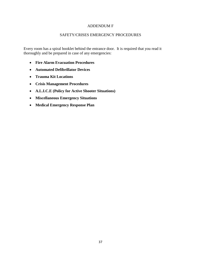#### ADDENDUM F

#### SAFETY/CRISES EMERGENCY PROCEDURES

Every room has a spiral booklet behind the entrance door. It is required that you read it thoroughly and be prepared in case of any emergencies:

- **Fire Alarm Evacuation Procedures**
- **Automated Defibrillator Devices**
- **Trauma Kit Locations**
- **Crisis Management Procedures**
- **A.L.I.C.E (Policy for Active Shooter Situations)**
- **Miscellaneous Emergency Situations**
- **Medical Emergency Response Plan**